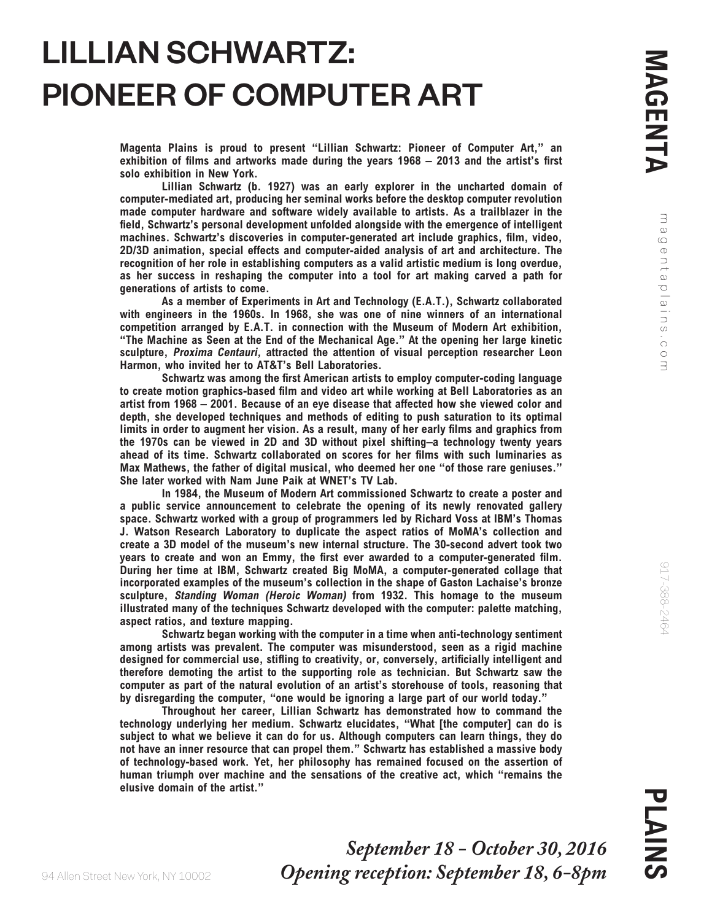magentaplains.com

gentaplains.com

 $\exists$  $\infty$ 

## LILLIAN SCHWARTZ: PIONEER OF COMPUTER ART

*Magenta Plains is proud to present "Lillian Schwartz: Pioneer of Computer Art," an exhibition of films and artworks made during the years 1968 – 2013 and the artist's first solo exhibition in New York.*

*Lillian Schwartz (b. 1927) was an early explorer in the uncharted domain of computer-mediated art, producing her seminal works before the desktop computer revolution made computer hardware and software widely available to artists. As a trailblazer in the field, Schwartz's personal development unfolded alongside with the emergence of intelligent machines. Schwartz's discoveries in computer-generated art include graphics, film, video, 2D/3D animation, special effects and computer-aided analysis of art and architecture. The recognition of her role in establishing computers as a valid artistic medium is long overdue, as her success in reshaping the computer into a tool for art making carved a path for generations of artists to come.*

*As a member of Experiments in Art and Technology (E.A.T.), Schwartz collaborated with engineers in the 1960s. In 1968, she was one of nine winners of an international competition arranged by E.A.T. in connection with the Museum of Modern Art exhibition, "The Machine as Seen at the End of the Mechanical Age." At the opening her large kinetic sculpture, Proxima Centauri, attracted the attention of visual perception researcher Leon Harmon, who invited her to AT&T's Bell Laboratories.*

*Schwartz was among the first American artists to employ computer-coding language to create motion graphics-based film and video art while working at Bell Laboratories as an artist from 1968 – 2001. Because of an eye disease that affected how she viewed color and*  depth, she developed techniques and methods of editing to push saturation to its optimal *limits in order to augment her vision. As a result, many of her early films and graphics from the 1970s can be viewed in 2D and 3D without pixel shifting–a technology twenty years ahead of its time. Schwartz collaborated on scores for her films with such luminaries as Max Mathews, the father of digital musical, who deemed her one "of those rare geniuses." She later worked with Nam June Paik at WNET's TV Lab.*

*In 1984, the Museum of Modern Art commissioned Schwartz to create a poster and a public service announcement to celebrate the opening of its newly renovated gallery space. Schwartz worked with a group of programmers led by Richard Voss at IBM's Thomas J. Watson Research Laboratory to duplicate the aspect ratios of MoMA's collection and create a 3D model of the museum's new internal structure. The 30-second advert took two years to create and won an Emmy, the first ever awarded to a computer-generated film. During her time at IBM, Schwartz created Big MoMA, a computer-generated collage that incorporated examples of the museum's collection in the shape of Gaston Lachaise's bronze sculpture, Standing Woman (Heroic Woman) from 1932. This homage to the museum illustrated many of the techniques Schwartz developed with the computer: palette matching, aspect ratios, and texture mapping.*

*Schwartz began working with the computer in a time when anti-technology sentiment among artists was prevalent. The computer was misunderstood, seen as a rigid machine designed for commercial use, stifling to creativity, or, conversely, artificially intelligent and therefore demoting the artist to the supporting role as technician. But Schwartz saw the computer as part of the natural evolution of an artist's storehouse of tools, reasoning that by disregarding the computer, "one would be ignoring a large part of our world today."*

*Throughout her career, Lillian Schwartz has demonstrated how to command the technology underlying her medium. Schwartz elucidates, "What [the computer] can do is subject to what we believe it can do for us. Although computers can learn things, they do not have an inner resource that can propel them." Schwartz has established a massive body of technology-based work. Yet, her philosophy has remained focused on the assertion of human triumph over machine and the sensations of the creative act, which "remains the elusive domain of the artist."* 

917-388-2464

917-388-2464